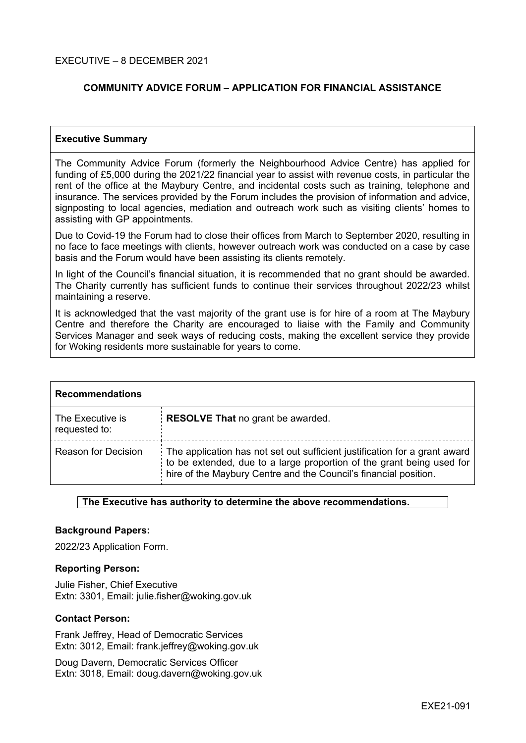## **COMMUNITY ADVICE FORUM – APPLICATION FOR FINANCIAL ASSISTANCE**

## **Executive Summary**

The Community Advice Forum (formerly the Neighbourhood Advice Centre) has applied for funding of £5,000 during the 2021/22 financial year to assist with revenue costs, in particular the rent of the office at the Maybury Centre, and incidental costs such as training, telephone and insurance. The services provided by the Forum includes the provision of information and advice, signposting to local agencies, mediation and outreach work such as visiting clients' homes to assisting with GP appointments.

Due to Covid-19 the Forum had to close their offices from March to September 2020, resulting in no face to face meetings with clients, however outreach work was conducted on a case by case basis and the Forum would have been assisting its clients remotely.

In light of the Council's financial situation, it is recommended that no grant should be awarded. The Charity currently has sufficient funds to continue their services throughout 2022/23 whilst maintaining a reserve.

It is acknowledged that the vast majority of the grant use is for hire of a room at The Maybury Centre and therefore the Charity are encouraged to liaise with the Family and Community Services Manager and seek ways of reducing costs, making the excellent service they provide for Woking residents more sustainable for years to come.

| <b>Recommendations</b>            |                                                                                                                                                                                                                         |  |
|-----------------------------------|-------------------------------------------------------------------------------------------------------------------------------------------------------------------------------------------------------------------------|--|
| The Executive is<br>requested to: | <b>RESOLVE That no grant be awarded.</b>                                                                                                                                                                                |  |
| <b>Reason for Decision</b>        | The application has not set out sufficient justification for a grant award<br>to be extended, due to a large proportion of the grant being used for<br>hire of the Maybury Centre and the Council's financial position. |  |

## **The Executive has authority to determine the above recommendations.**

#### **Background Papers:**

2022/23 Application Form.

#### **Reporting Person:**

Julie Fisher, Chief Executive Extn: 3301, Email: julie.fisher@woking.gov.uk

#### **Contact Person:**

Frank Jeffrey, Head of Democratic Services Extn: 3012, Email: frank.jeffrey@woking.gov.uk

Doug Davern, Democratic Services Officer Extn: 3018, Email: doug.davern@woking.gov.uk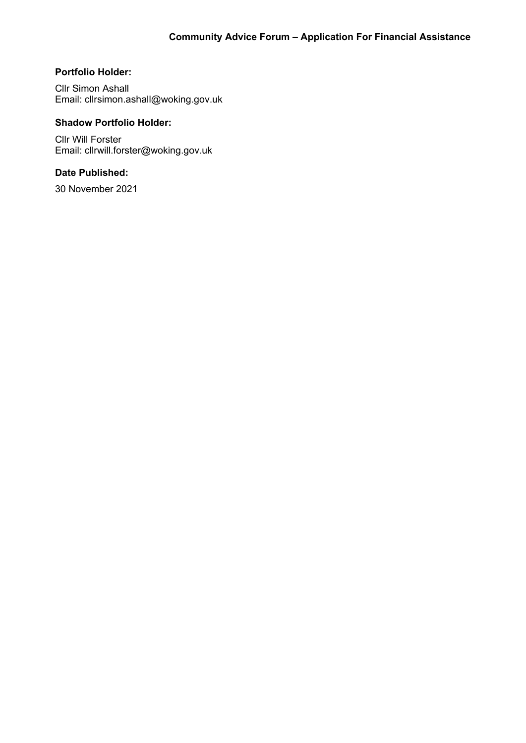# **Portfolio Holder:**

Cllr Simon Ashall Email: cllrsimon.ashall@woking.gov.uk

# **Shadow Portfolio Holder:**

Cllr Will Forster Email: cllrwill.forster@woking.gov.uk

# **Date Published:**

30 November 2021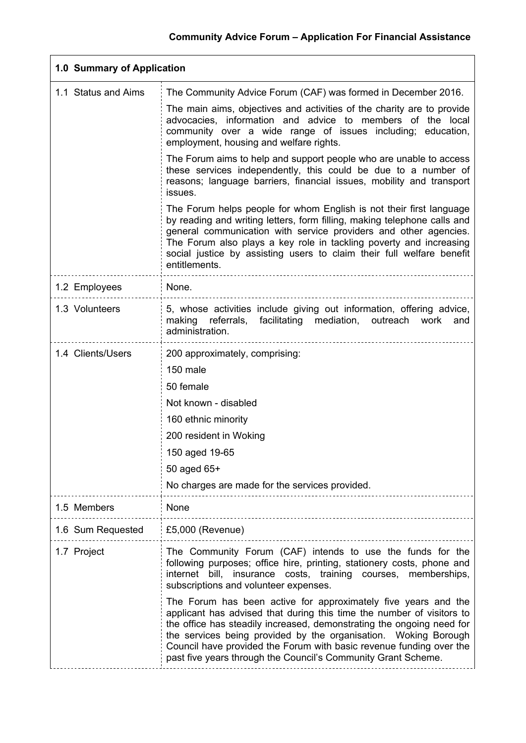| 1.0 Summary of Application |                                                                                                                                                                                                                                                                                                                                                                                                                             |  |  |
|----------------------------|-----------------------------------------------------------------------------------------------------------------------------------------------------------------------------------------------------------------------------------------------------------------------------------------------------------------------------------------------------------------------------------------------------------------------------|--|--|
| 1.1 Status and Aims        | The Community Advice Forum (CAF) was formed in December 2016.                                                                                                                                                                                                                                                                                                                                                               |  |  |
|                            | The main aims, objectives and activities of the charity are to provide<br>advocacies, information and advice to members of the local<br>community over a wide range of issues including; education,<br>employment, housing and welfare rights.                                                                                                                                                                              |  |  |
|                            | The Forum aims to help and support people who are unable to access<br>these services independently, this could be due to a number of<br>reasons; language barriers, financial issues, mobility and transport<br>issues.                                                                                                                                                                                                     |  |  |
|                            | The Forum helps people for whom English is not their first language<br>by reading and writing letters, form filling, making telephone calls and<br>general communication with service providers and other agencies.<br>The Forum also plays a key role in tackling poverty and increasing<br>social justice by assisting users to claim their full welfare benefit<br>entitlements.                                         |  |  |
| 1.2 Employees              | None.                                                                                                                                                                                                                                                                                                                                                                                                                       |  |  |
| 1.3 Volunteers             | 5, whose activities include giving out information, offering advice,<br>making referrals,<br>facilitating mediation, outreach work<br>and<br>administration.                                                                                                                                                                                                                                                                |  |  |
| 1.4 Clients/Users          | 200 approximately, comprising:                                                                                                                                                                                                                                                                                                                                                                                              |  |  |
|                            | 150 male                                                                                                                                                                                                                                                                                                                                                                                                                    |  |  |
|                            | 50 female                                                                                                                                                                                                                                                                                                                                                                                                                   |  |  |
|                            | Not known - disabled                                                                                                                                                                                                                                                                                                                                                                                                        |  |  |
|                            | 160 ethnic minority                                                                                                                                                                                                                                                                                                                                                                                                         |  |  |
|                            | 200 resident in Woking                                                                                                                                                                                                                                                                                                                                                                                                      |  |  |
|                            | 150 aged 19-65<br>50 aged 65+                                                                                                                                                                                                                                                                                                                                                                                               |  |  |
|                            | No charges are made for the services provided.                                                                                                                                                                                                                                                                                                                                                                              |  |  |
| 1.5 Members                | None                                                                                                                                                                                                                                                                                                                                                                                                                        |  |  |
| 1.6 Sum Requested          | $£5,000$ (Revenue)                                                                                                                                                                                                                                                                                                                                                                                                          |  |  |
| 1.7 Project                | The Community Forum (CAF) intends to use the funds for the<br>following purposes; office hire, printing, stationery costs, phone and<br>internet bill, insurance costs, training courses, memberships,<br>subscriptions and volunteer expenses.                                                                                                                                                                             |  |  |
|                            | The Forum has been active for approximately five years and the<br>applicant has advised that during this time the number of visitors to<br>the office has steadily increased, demonstrating the ongoing need for<br>the services being provided by the organisation. Woking Borough<br>Council have provided the Forum with basic revenue funding over the<br>past five years through the Council's Community Grant Scheme. |  |  |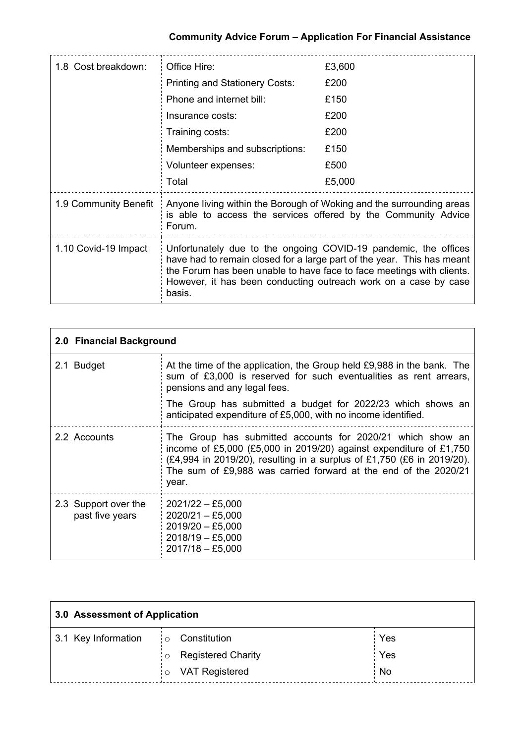| 1.8 Cost breakdown:   | Office Hire:                                                                                                                                                                                                                                                                                    | £3,600 |  |
|-----------------------|-------------------------------------------------------------------------------------------------------------------------------------------------------------------------------------------------------------------------------------------------------------------------------------------------|--------|--|
|                       | <b>Printing and Stationery Costs:</b>                                                                                                                                                                                                                                                           | £200   |  |
|                       | Phone and internet bill:                                                                                                                                                                                                                                                                        | £150   |  |
|                       | Insurance costs:                                                                                                                                                                                                                                                                                | £200   |  |
|                       | Training costs:                                                                                                                                                                                                                                                                                 | £200   |  |
|                       | Memberships and subscriptions:                                                                                                                                                                                                                                                                  | £150   |  |
|                       | Volunteer expenses:                                                                                                                                                                                                                                                                             | £500   |  |
|                       | Total                                                                                                                                                                                                                                                                                           | £5,000 |  |
| 1.9 Community Benefit | Anyone living within the Borough of Woking and the surrounding areas<br>is able to access the services offered by the Community Advice<br>Forum.                                                                                                                                                |        |  |
| 1.10 Covid-19 Impact  | Unfortunately due to the ongoing COVID-19 pandemic, the offices<br>have had to remain closed for a large part of the year. This has meant<br>the Forum has been unable to have face to face meetings with clients.<br>However, it has been conducting outreach work on a case by case<br>basis. |        |  |

| 2.0 Financial Background                |                                                                                                                                                                                                                                                                                        |  |  |
|-----------------------------------------|----------------------------------------------------------------------------------------------------------------------------------------------------------------------------------------------------------------------------------------------------------------------------------------|--|--|
| 2.1 Budget                              | At the time of the application, the Group held £9,988 in the bank. The<br>sum of £3,000 is reserved for such eventualities as rent arrears,<br>pensions and any legal fees.                                                                                                            |  |  |
|                                         | The Group has submitted a budget for 2022/23 which shows an<br>anticipated expenditure of £5,000, with no income identified.                                                                                                                                                           |  |  |
| 2.2 Accounts                            | The Group has submitted accounts for 2020/21 which show an<br>income of £5,000 (£5,000 in 2019/20) against expenditure of £1,750<br>(£4,994 in 2019/20), resulting in a surplus of £1,750 (£6 in 2019/20).<br>The sum of £9,988 was carried forward at the end of the 2020/21<br>year. |  |  |
| 2.3 Support over the<br>past five years | $2021/22 - £5,000$<br>$2020/21 - £5,000$<br>2019/20 - £5,000<br>2018/19 - £5,000<br>$2017/18 - £5,000$                                                                                                                                                                                 |  |  |

| 3.0 Assessment of Application |                                             |     |  |
|-------------------------------|---------------------------------------------|-----|--|
| 3.1 Key Information           | Constitution<br>$\frac{1}{2}$ O             | Yes |  |
|                               | <b>Registered Charity</b><br>$\overline{O}$ | Yes |  |
|                               | <b>VAT Registered</b><br>$\circ$            | No  |  |